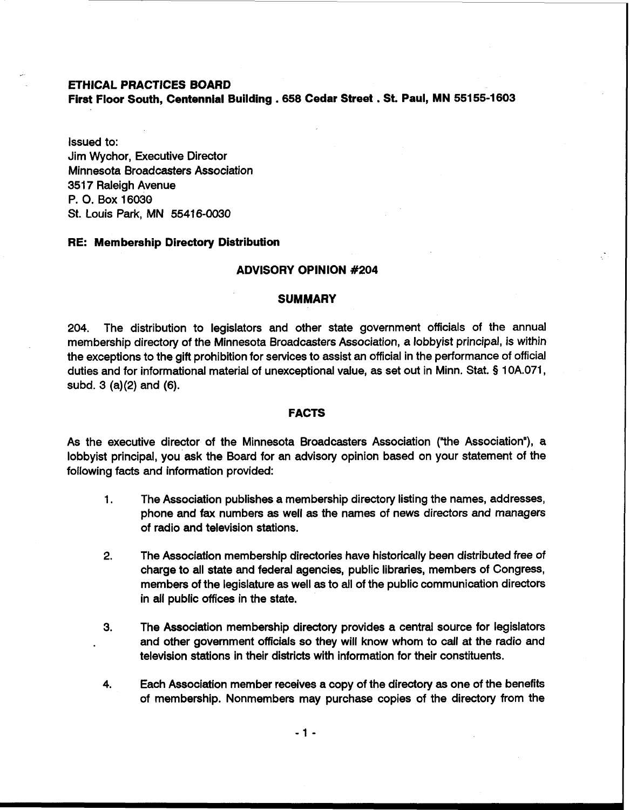**ETHICAL PRACTICES BOARD** 

**First Floor South, Centennial Building** . **658 Cedar Street** . **St. Paul, MN 55155-1 603** 

Issued to: Jim Wychor, Executive Director Minnesota Broadcasters Association 3517 Raleigh Avenue P. **0.** Box 16030 St. Louis Park, MN 55416-0030

## **RE: Membership Directory Distribution**

## **ADVISORY OPINION #204**

# **SUMMARY**

204. The distribution to legislators and other state government officials of the annual membership directory of the Minnesota Broadcasters Association, a lobbyist principal, is within the exceptions to the gift prohibition for services to assist an official in the performance of official duties and for informational material of unexceptional value, as set out in Minn. Stat. § 10A.071, subd. 3 (a)(2) and (6).

#### **FACTS**

As the executive director of the Minnesota Broadcasters Association (''the Association"), a lobbyist principal, you ask the Board for an advisory opinion based on your statement of the following facts and information provided:

- 1. The Association publishes a membership directory listing the names, addresses, phone and fax numbers as well **as** the names of news directors and managers of radio and television stations.
- 2. The Association membership directories have historically been distributed free of charge to all state and federal agencies, public libraries, members of Congress, members of the legislature as well **as** to all of the public communication directors in all public offices in the state.
- 3. The Association membership directory provides a central source for legislators and other government officials so they will know whom to call at the radio and television stations in their districts with information for their constituents.
- 4. Each Association member receives a copy of the directory **as** one of the benefits of membership. Nonmembers may purchase copies of the directory from the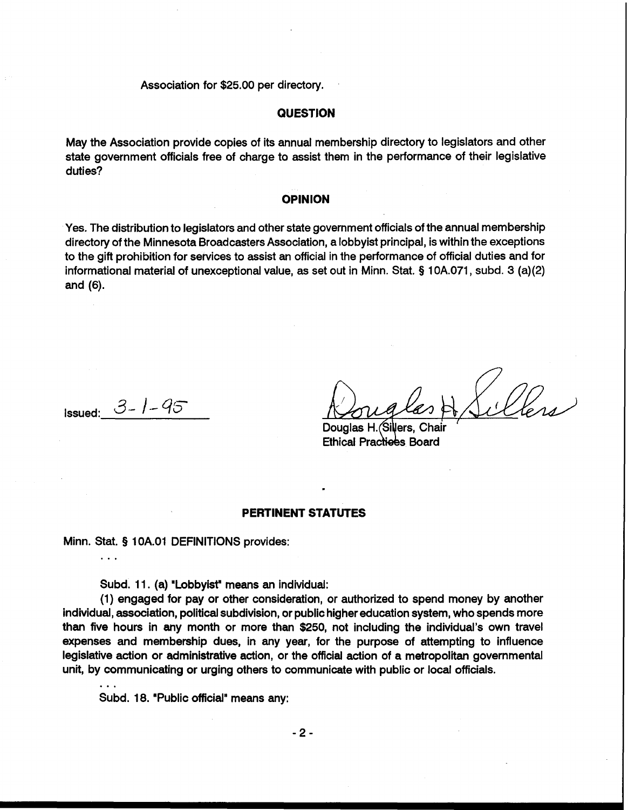Association for \$25.00 per directory.

# **QUESTION**

May the Association provide copies of its annual membership directory to legislators and other state government officials free of charge to assist them in the performance of their legislative duties?

# **OPINION**

Yes. The distribution to legislators and other state government officials of the annual membership directory of the Minnesota Broadcasters Association, a lobbyist principal, is within the exceptions to the gift prohibition for services to assist an official in the performance of official duties and for informational material of unexceptional value, as set out in Minn. Stat. **5** 1 OA.071, subd. 3 (a)(2) and (6).

Issued: *3-* /-- *qz* 

. . .

Douglas H. lers. **Ethical Practices Board** 

# **PERTINENT STATUTES**

Minn. Stat. § 1 OA.O1 DEFINITIONS provides:

Subd. 11. (a) "Lobbyist"means **an** individual:

(1) engaged for pay or other consideration, or authorized to spend money by another individual, association, political subdivision, or public higher education system, who spends more than five hours in any month or more than \$250, not including the individual's own travel expenses and membership dues, in any year, for the purpose of attempting to influence legislative action or administrative action, or the official action of a metropolitan governmental unit, by communicating or urging others to communicate with public or local officials. ...

Subd. 18. "Public official" means any: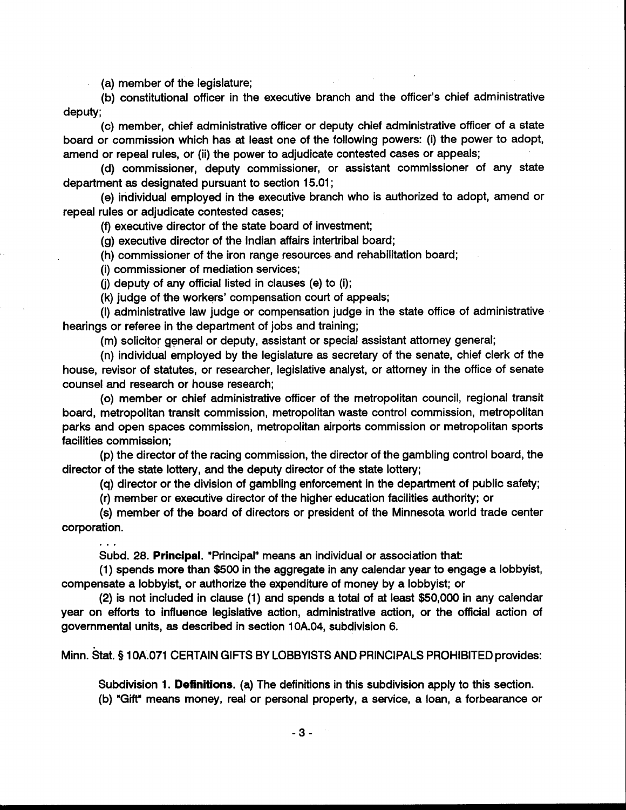(a) member of the legislature;

(b) constitutional officer in the executive branch and the officer's chief administrative deputy;

(c) member, chief administrative officer or deputy chief administrative officer of a state board or commission which has at least one of the following powers: (i) the power to adopt, amend or repeal rules, or (ii) the power to adjudicate contested cases or appeals;

(d) commissioner, deputy commissioner, or assistant commissioner of any state department as designated pursuant to section 15.01 ;

(e) individual employed in the executive branch who is authorized to adopt, amend or repeal rules or adjudicate contested cases;

(9 executive director of the state board of investment;

(g) executive director of the Indian affairs intertribal board;

(h) commissioner of the iron range resources and rehabilitation board;

(i) commissioner of mediation services;

(i) deputy of any official listed in clauses (e) to (i);

(k) judge of the workers' compensation court of appeals;

(I) administrative law judge or compensation judge in the state office of administrative hearings or referee in the department of jobs and training;

(m) solicitor general or deputy, assistant or special assistant attorney general;

(n) individual employed by the legislature as secretary of the senate, chief clerk of the house, revisor of statutes, or researcher, legislative analyst, or attorney in the office of senate counsel and research or house research;

(0) member or chief administrative officer of the metropolitan council, regional transit board, metropolitan transit commission, metropolitan waste control commission, metropolitan parks and open spaces commission, metropolitan airports commission or metropolitan sports facilities commission;

(p) the director of the racing commission, the director of the gambling control board, the director of the state lottery, and the deputy director of the state lottery;

(q) director or the division of gambling enforcement in the department of public safety;

(r) member or executive director of the higher education facilities authority; or

(s) member of the board of directors or president of the Minnesota world trade center corporation.

. . .<br>Subd. 28. **Principal**. "Principal" means an individual or association that:

(1) spends more than \$500 in the aggregate in any calendar year to engage a lobbyist, compensate a lobbyist, or authorize the expenditure of money by a lobbyist; or

(2) is not included in clause (1) and spends a total of at least \$50,000 in any calendar year on efforts to influence legislative action, administrative action, or the official action of governmental units, as described in section 10A.04, subdivision 6.

Minn. stat. **5** 10A.071 CERTAIN GIFTS BY LOBBYISTS AND PRINCIPALS PROHIBITED provides:

Subdivision 1. **Definitions.** (a) The definitions in this subdivision apply to this section. (b) "Gift" means money, real or personal property, a service, a loan, a forbearance or